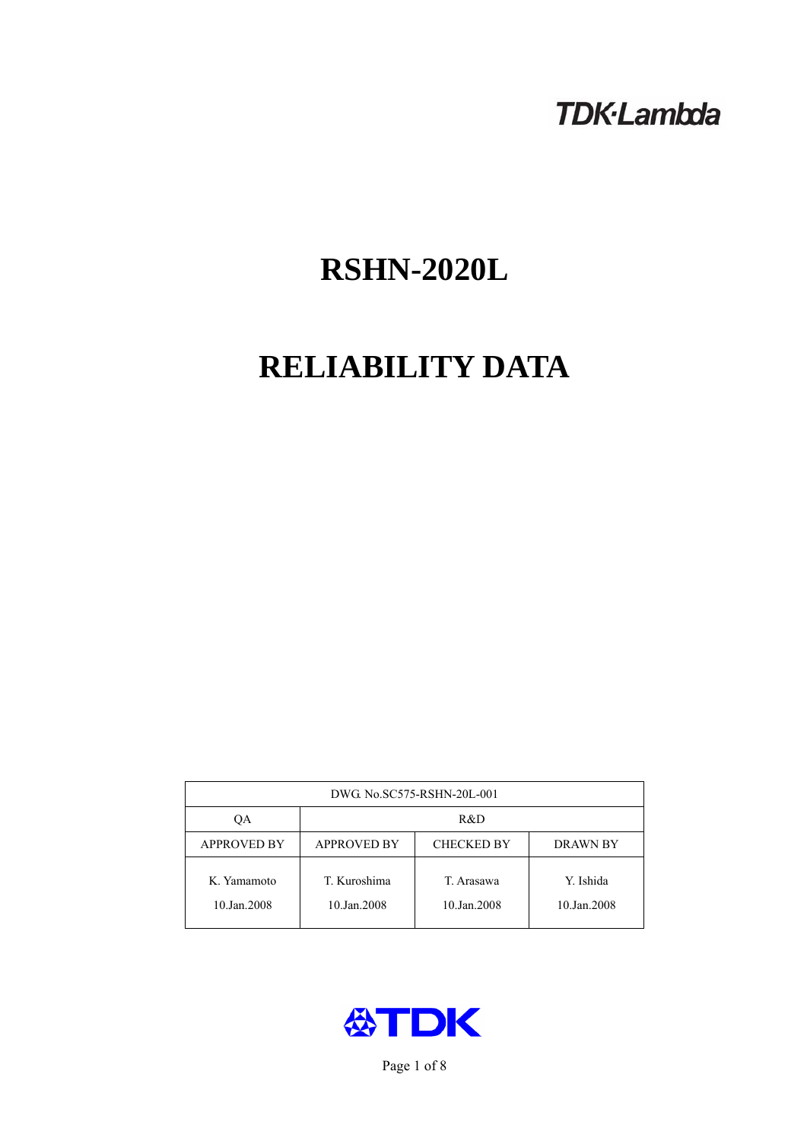# **TDK-Lambda**

# **RSHN-2020L**

# **RELIABILITY DATA**

| DWG. No.SC575-RSHN-20L-001 |                                                            |                           |                          |  |  |
|----------------------------|------------------------------------------------------------|---------------------------|--------------------------|--|--|
| ОA                         | R&D                                                        |                           |                          |  |  |
| <b>APPROVED BY</b>         | <b>APPROVED BY</b><br><b>CHECKED BY</b><br><b>DRAWN BY</b> |                           |                          |  |  |
| K. Yamamoto<br>10.Jan.2008 | T. Kuroshima<br>10.Jan.2008                                | T. Arasawa<br>10.Jan.2008 | Y. Ishida<br>10.Jan.2008 |  |  |



Page 1 of 8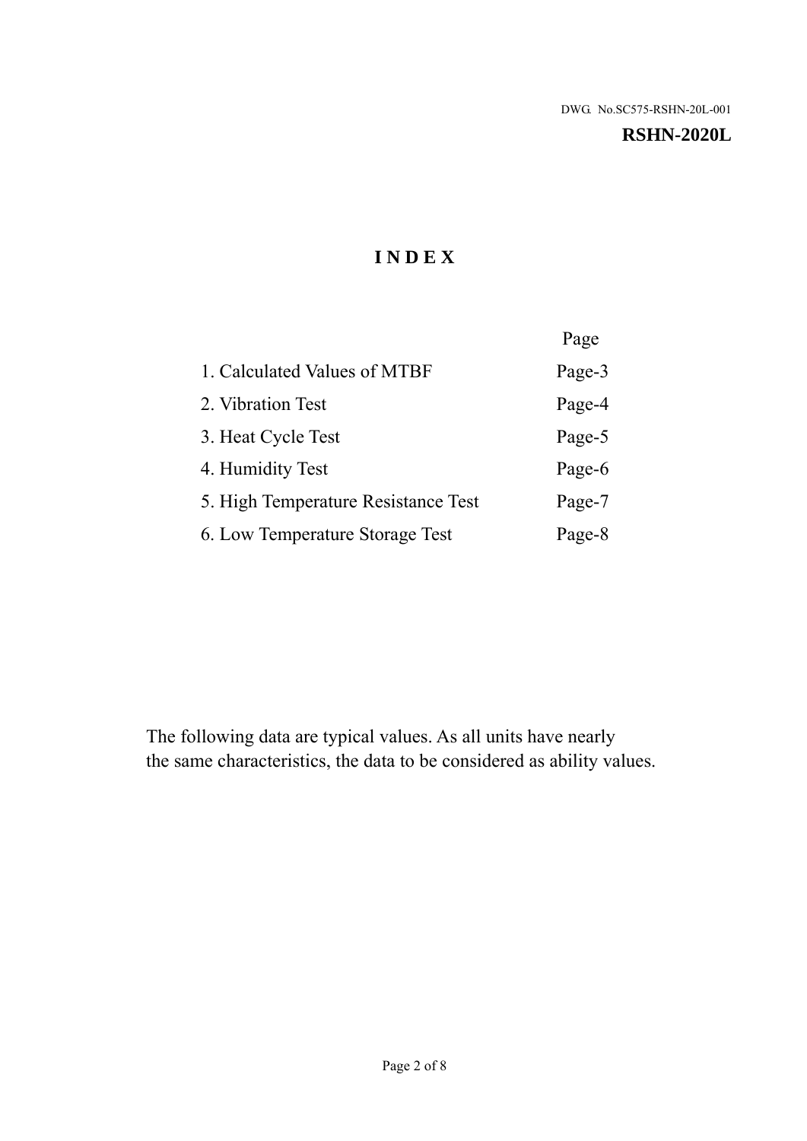#### **RSHN-2020L**

# **I N D E X**

|                                     | Page   |
|-------------------------------------|--------|
| 1. Calculated Values of MTBF        | Page-3 |
| 2. Vibration Test                   | Page-4 |
| 3. Heat Cycle Test                  | Page-5 |
| 4. Humidity Test                    | Page-6 |
| 5. High Temperature Resistance Test | Page-7 |
| 6. Low Temperature Storage Test     | Page-8 |

The following data are typical values. As all units have nearly the same characteristics, the data to be considered as ability values.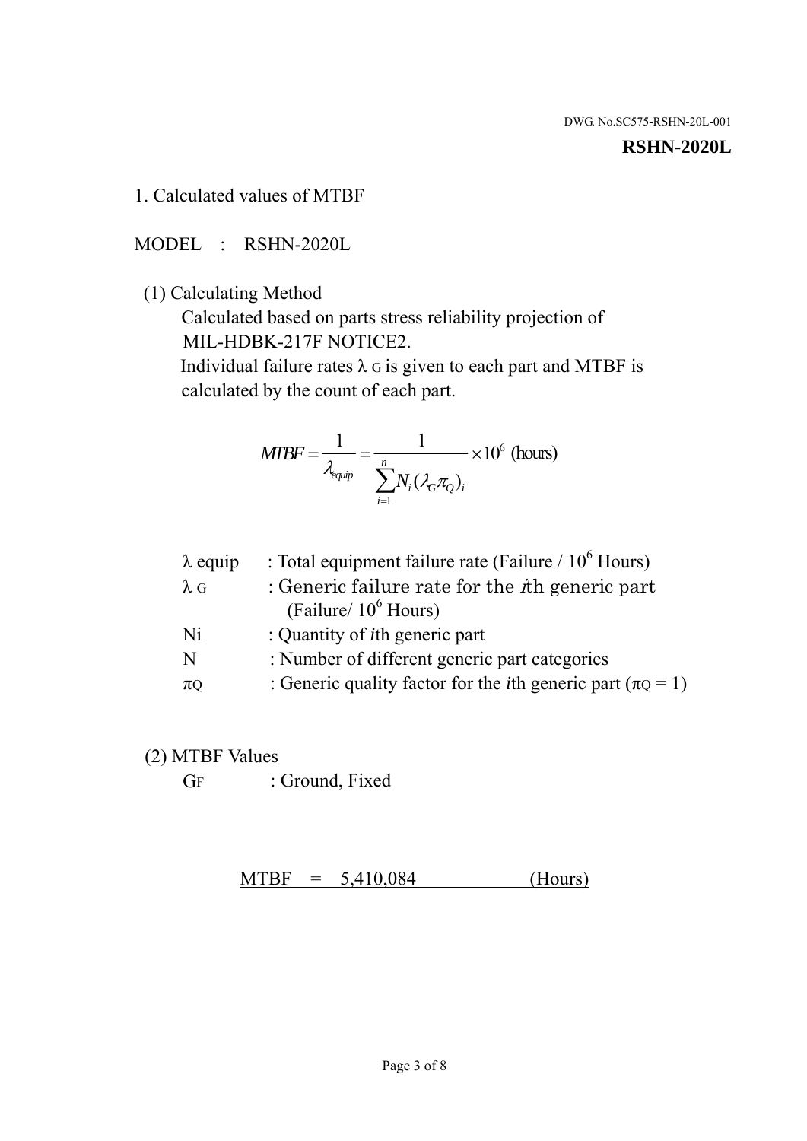#### **RSHN-2020L**

1. Calculated values of MTBF

MODEL : RSHN-2020L

(1) Calculating Method

 Calculated based on parts stress reliability projection of MIL-HDBK-217F NOTICE2.

Individual failure rates  $\lambda$  G is given to each part and MTBF is calculated by the count of each part.

$$
MTBF = \frac{1}{\lambda_{\text{equip}}} = \frac{1}{\sum_{i=1}^{n} N_i (\lambda_G \pi_Q)_i} \times 10^6 \text{ (hours)}
$$

| $\lambda$ equip | : Total equipment failure rate (Failure $/ 10^6$ Hours)                   |
|-----------------|---------------------------------------------------------------------------|
| $\lambda$ G     | : Generic failure rate for the $\hbar$ generic part                       |
|                 | (Failure/ $10^6$ Hours)                                                   |
| Ni              | : Quantity of <i>i</i> th generic part                                    |
| N               | : Number of different generic part categories                             |
| $\pi$ Q         | : Generic quality factor for the <i>i</i> th generic part ( $\pi Q = 1$ ) |

- (2) MTBF Values
	- GF : Ground, Fixed

 $MTBF = 5,410,084$  (Hours)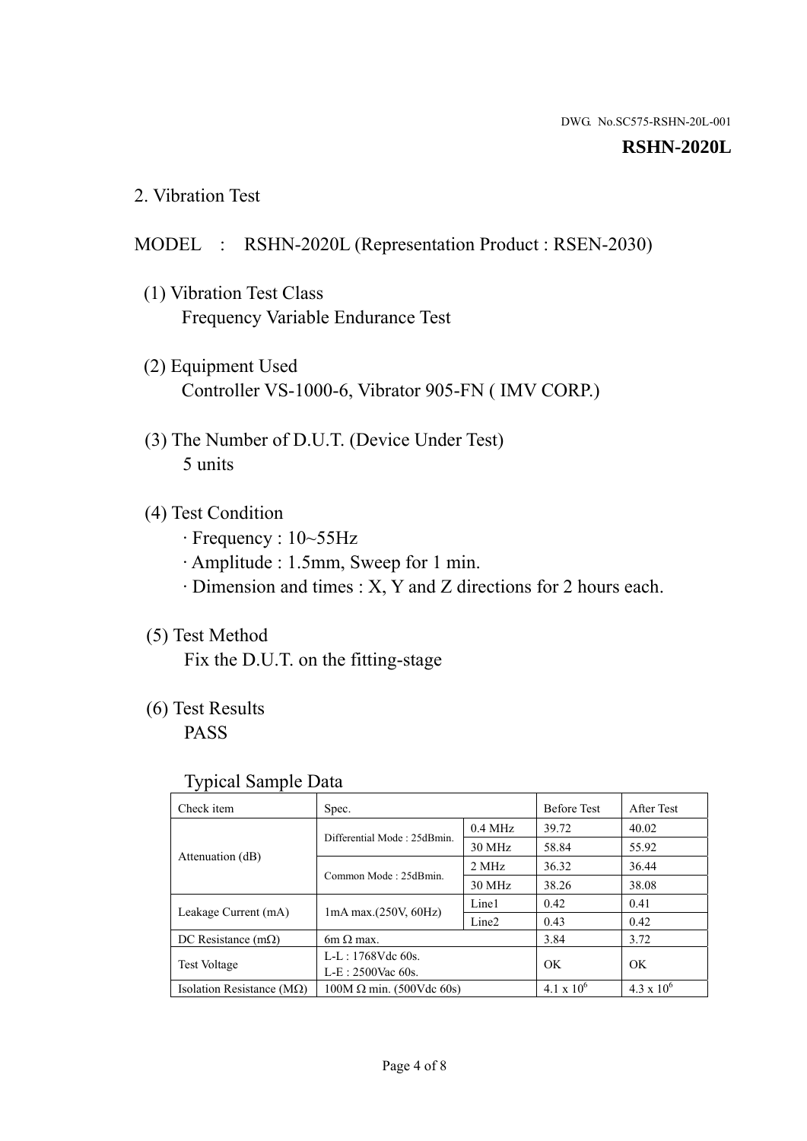#### **RSHN-2020L**

2. Vibration Test

### MODEL : RSHN-2020L (Representation Product : RSEN-2030)

- (1) Vibration Test Class Frequency Variable Endurance Test
- (2) Equipment Used Controller VS-1000-6, Vibrator 905-FN ( IMV CORP.)
- (3) The Number of D.U.T. (Device Under Test) 5 units
- (4) Test Condition
	- · Frequency : 10~55Hz
	- · Amplitude : 1.5mm, Sweep for 1 min.
	- · Dimension and times : X, Y and Z directions for 2 hours each.

# (5) Test Method

Fix the D.U.T. on the fitting-stage

# (6) Test Results

PASS

#### Typical Sample Data

| . .                           |                                                         |           |                     |                     |
|-------------------------------|---------------------------------------------------------|-----------|---------------------|---------------------|
| Check item                    | Spec.                                                   |           | <b>Before Test</b>  | After Test          |
|                               | Differential Mode: 25dBmin.                             | $0.4$ MHz | 39.72               | 40.02               |
|                               |                                                         | 30 MHz    | 58.84               | 55.92               |
| Attenuation (dB)              | Common Mode: 25dBmin.                                   | 2 MHz     | 36.32               | 36.44               |
|                               |                                                         | 30 MHz    | 38.26               | 38.08               |
| Leakage Current (mA)          | Line1<br>$1mA$ max. $(250V, 60Hz)$<br>Line <sub>2</sub> |           | 0.42                | 0.41                |
|                               |                                                         |           | 0.43                | 0.42                |
| DC Resistance $(m\Omega)$     | 6m $\Omega$ max.                                        |           | 3.84                | 3.72                |
| <b>Test Voltage</b>           | $L-L: 1768Vdc$ 60s.                                     |           | OK                  | OK.                 |
|                               | $L-E$ : 2500Vac 60s.                                    |           |                     |                     |
| Isolation Resistance ( $MQ$ ) | $100M \Omega$ min. (500Vdc 60s)                         |           | $4.1 \times 10^{6}$ | $4.3 \times 10^{6}$ |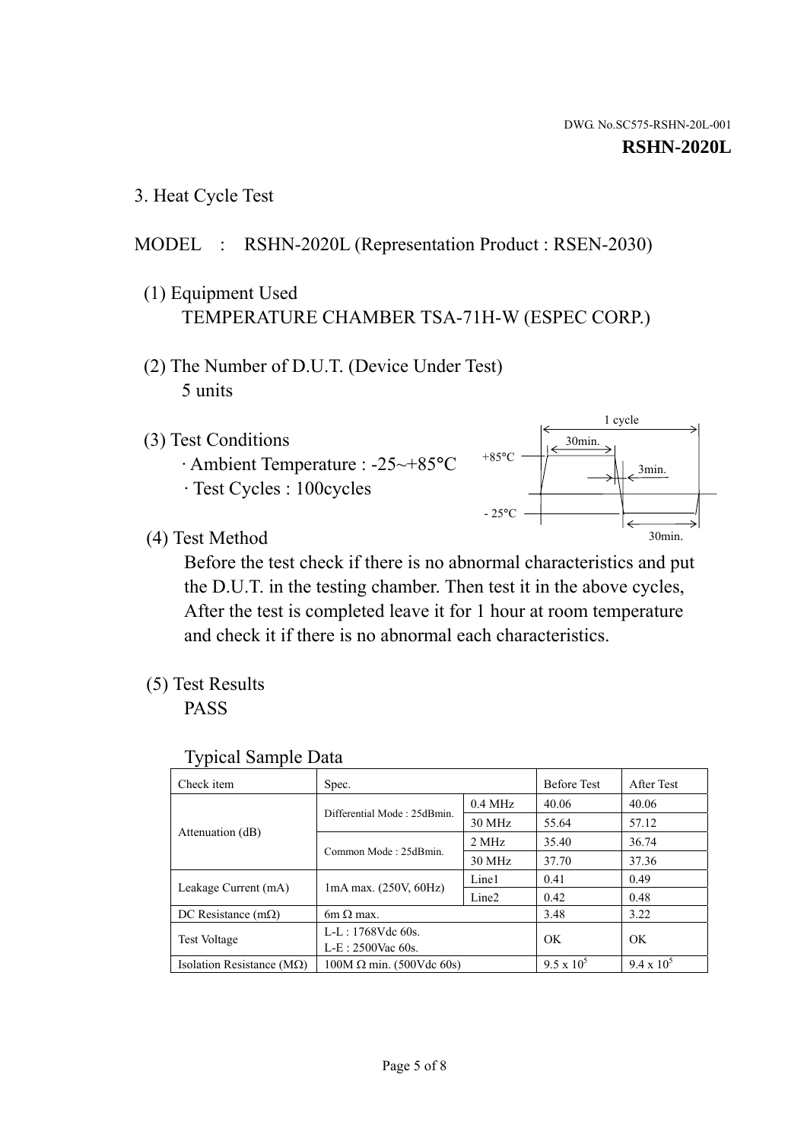3. Heat Cycle Test

# MODEL : RSHN-2020L (Representation Product : RSEN-2030)

- (1) Equipment Used TEMPERATURE CHAMBER TSA-71H-W (ESPEC CORP.)
- (2) The Number of D.U.T. (Device Under Test) 5 units
- (3) Test Conditions
	- · Ambient Temperature : -25~+85°C · Test Cycles : 100cycles



(4) Test Method

 Before the test check if there is no abnormal characteristics and put the D.U.T. in the testing chamber. Then test it in the above cycles, After the test is completed leave it for 1 hour at room temperature and check it if there is no abnormal each characteristics.

(5) Test Results

PASS

| <b>Typical Sample Data</b> |  |  |
|----------------------------|--|--|
|----------------------------|--|--|

| Check item                    | Spec.                                                                           |           | <b>Before Test</b> | After Test        |
|-------------------------------|---------------------------------------------------------------------------------|-----------|--------------------|-------------------|
|                               |                                                                                 | $0.4$ MHz | 40.06              | 40.06             |
|                               | Differential Mode: 25dBmin.                                                     | 30 MHz    | 55.64              | 57.12             |
| Attenuation (dB)              | Common Mode: 25dBmin.                                                           | 2 MHz     | 35.40              | 36.74             |
|                               |                                                                                 | 30 MHz    | 37.70              | 37.36             |
|                               | Line1<br>$1mA$ max. $(250V, 60Hz)$<br>Leakage Current (mA)<br>Line <sub>2</sub> |           | 0.41               | 0.49              |
|                               |                                                                                 |           | 0.42               | 0.48              |
| DC Resistance $(m\Omega)$     | $6m \Omega$ max.                                                                |           | 3.48               | 3.22              |
|                               | L-L: $1768V$ de $60s$ .                                                         |           | OK                 | OK                |
|                               | <b>Test Voltage</b><br>$L-E: 2500$ Vac 60s.                                     |           |                    |                   |
| Isolation Resistance ( $MQ$ ) | $100M \Omega$ min. (500Vdc 60s)                                                 |           | $9.5 \times 10^5$  | $9.4 \times 10^5$ |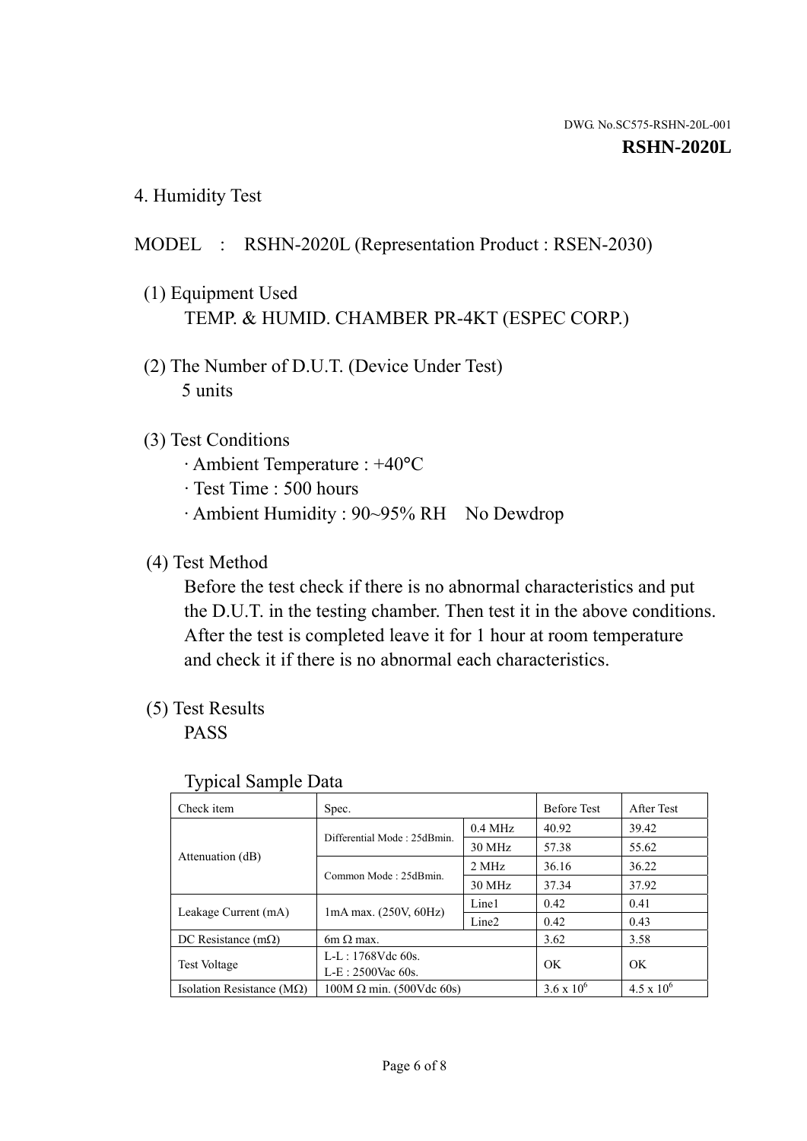4. Humidity Test

# MODEL : RSHN-2020L (Representation Product : RSEN-2030)

- (1) Equipment Used TEMP. & HUMID. CHAMBER PR-4KT (ESPEC CORP.)
- (2) The Number of D.U.T. (Device Under Test) 5 units

# (3) Test Conditions

- · Ambient Temperature : +40°C
- · Test Time : 500 hours
- · Ambient Humidity : 90~95% RH No Dewdrop

# (4) Test Method

 Before the test check if there is no abnormal characteristics and put the D.U.T. in the testing chamber. Then test it in the above conditions. After the test is completed leave it for 1 hour at room temperature and check it if there is no abnormal each characteristics.

# (5) Test Results

PASS

| . .                                |                                 |                   |                     |                     |
|------------------------------------|---------------------------------|-------------------|---------------------|---------------------|
| Check item                         | Spec.                           |                   | <b>Before Test</b>  | After Test          |
|                                    | Differential Mode: 25dBmin.     | $0.4$ MHz         | 40.92               | 39.42               |
|                                    |                                 | 30 MHz            | 57.38               | 55.62               |
| Attenuation (dB)                   | Common Mode: 25dBmin.           | 2 MHz             | 36.16               | 36.22               |
|                                    |                                 | 30 MHz            | 37.34               | 37.92               |
| Leakage Current (mA)               | $1mA$ max. $(250V, 60Hz)$       | Line1             | 0.42                | 0.41                |
|                                    |                                 | Line <sub>2</sub> | 0.42                | 0.43                |
| DC Resistance (m $\Omega$ )        | $6m \Omega$ max.                |                   | 3.62                | 3.58                |
| <b>Test Voltage</b>                | $L-L: 1768Vdc$ 60s.             |                   | OK                  | OK.                 |
|                                    | $L-E$ : 2500Vac 60s.            |                   |                     |                     |
| Isolation Resistance ( $M\Omega$ ) | $100M \Omega$ min. (500Vdc 60s) |                   | $3.6 \times 10^{6}$ | $4.5 \times 10^{6}$ |

#### Typical Sample Data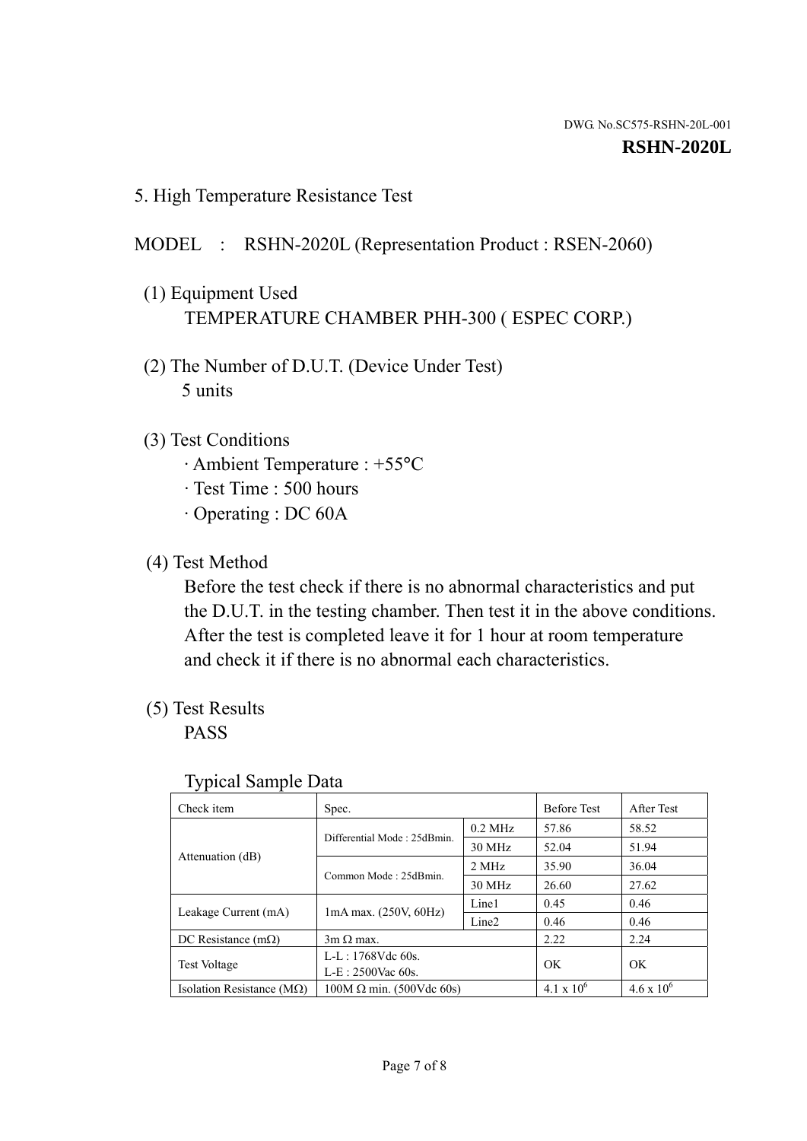5. High Temperature Resistance Test

# MODEL : RSHN-2020L (Representation Product : RSEN-2060)

- (1) Equipment Used TEMPERATURE CHAMBER PHH-300 ( ESPEC CORP.)
- (2) The Number of D.U.T. (Device Under Test) 5 units
- (3) Test Conditions
	- · Ambient Temperature : +55°C
	- · Test Time : 500 hours
	- · Operating : DC 60A
- (4) Test Method

 Before the test check if there is no abnormal characteristics and put the D.U.T. in the testing chamber. Then test it in the above conditions. After the test is completed leave it for 1 hour at room temperature and check it if there is no abnormal each characteristics.

(5) Test Results

PASS

| J 1                                |                                             |                   |                     |                     |
|------------------------------------|---------------------------------------------|-------------------|---------------------|---------------------|
| Check item                         | Spec.                                       |                   | <b>Before Test</b>  | After Test          |
|                                    | Differential Mode: 25dBmin.                 | $0.2$ MHz         | 57.86               | 58.52               |
|                                    |                                             | 30 MHz            | 52.04               | 51.94               |
| Attenuation (dB)                   | Common Mode: 25dBmin.                       | 2 MHz             | 35.90               | 36.04               |
|                                    |                                             | 30 MHz            | 26.60               | 27.62               |
|                                    |                                             | Line1             | 0.45                | 0.46                |
| Leakage Current (mA)               | $1mA$ max. $(250V, 60Hz)$                   | Line <sub>2</sub> | 0.46                | 0.46                |
| DC Resistance $(m\Omega)$          | $3m \Omega$ max.                            |                   | 2.22                | 2.24                |
|                                    | $L-L: 1768Vdc$ 60s.                         |                   | OK                  | OK                  |
|                                    | <b>Test Voltage</b><br>$L-E: 2500$ Vac 60s. |                   |                     |                     |
| Isolation Resistance ( $M\Omega$ ) | $100M \Omega$ min. (500Vdc 60s)             |                   | $4.1 \times 10^{6}$ | $4.6 \times 10^{6}$ |

#### Typical Sample Data